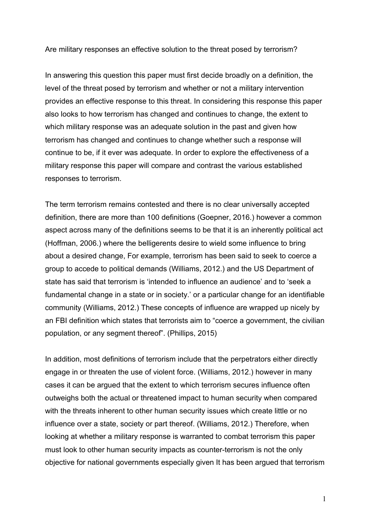Are military responses an effective solution to the threat posed by terrorism?

In answering this question this paper must first decide broadly on a definition, the level of the threat posed by terrorism and whether or not a military intervention provides an effective response to this threat. In considering this response this paper also looks to how terrorism has changed and continues to change, the extent to which military response was an adequate solution in the past and given how terrorism has changed and continues to change whether such a response will continue to be, if it ever was adequate. In order to explore the effectiveness of a military response this paper will compare and contrast the various established responses to terrorism.

The term terrorism remains contested and there is no clear universally accepted definition, there are more than 100 definitions (Goepner, 2016.) however a common aspect across many of the definitions seems to be that it is an inherently political act (Hoffman, 2006.) where the belligerents desire to wield some influence to bring about a desired change, For example, terrorism has been said to seek to coerce a group to accede to political demands (Williams, 2012.) and the US Department of state has said that terrorism is 'intended to influence an audience' and to 'seek a fundamental change in a state or in society.' or a particular change for an identifiable community (Williams, 2012.) These concepts of influence are wrapped up nicely by an FBI definition which states that terrorists aim to "coerce a government, the civilian population, or any segment thereof". (Phillips, 2015)

In addition, most definitions of terrorism include that the perpetrators either directly engage in or threaten the use of violent force. (Williams, 2012.) however in many cases it can be argued that the extent to which terrorism secures influence often outweighs both the actual or threatened impact to human security when compared with the threats inherent to other human security issues which create little or no influence over a state, society or part thereof. (Williams, 2012.) Therefore, when looking at whether a military response is warranted to combat terrorism this paper must look to other human security impacts as counter-terrorism is not the only objective for national governments especially given It has been argued that terrorism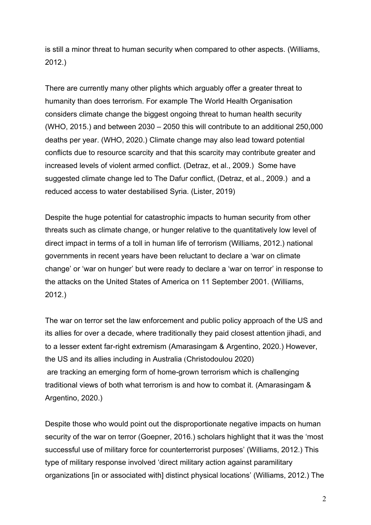is still a minor threat to human security when compared to other aspects. (Williams, 2012.)

There are currently many other plights which arguably offer a greater threat to humanity than does terrorism. For example The World Health Organisation considers climate change the biggest ongoing threat to human health security (WHO, 2015.) and between 2030 – 2050 this will contribute to an additional 250,000 deaths per year. (WHO, 2020.) Climate change may also lead toward potential conflicts due to resource scarcity and that this scarcity may contribute greater and increased levels of violent armed conflict. (Detraz, et al., 2009.) Some have suggested climate change led to The Dafur conflict, (Detraz, et al., 2009.) and a reduced access to water destabilised Syria. (Lister, 2019)

Despite the huge potential for catastrophic impacts to human security from other threats such as climate change, or hunger relative to the quantitatively low level of direct impact in terms of a toll in human life of terrorism (Williams, 2012.) national governments in recent years have been reluctant to declare a 'war on climate change' or 'war on hunger' but were ready to declare a 'war on terror' in response to the attacks on the United States of America on 11 September 2001. (Williams, 2012.)

The war on terror set the law enforcement and public policy approach of the US and its allies for over a decade, where traditionally they paid closest attention jihadi, and to a lesser extent far-right extremism (Amarasingam & Argentino, 2020.) However, the US and its allies including in Australia (Christodoulou 2020) are tracking an emerging form of home-grown terrorism which is challenging traditional views of both what terrorism is and how to combat it. (Amarasingam & Argentino, 2020.)

Despite those who would point out the disproportionate negative impacts on human security of the war on terror (Goepner, 2016.) scholars highlight that it was the 'most successful use of military force for counterterrorist purposes' (Williams, 2012.) This type of military response involved 'direct military action against paramilitary organizations [in or associated with] distinct physical locations' (Williams, 2012.) The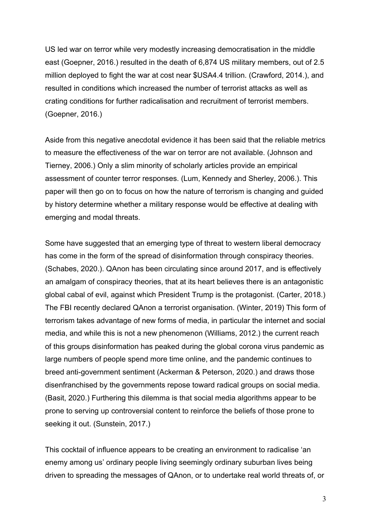US led war on terror while very modestly increasing democratisation in the middle east (Goepner, 2016.) resulted in the death of 6,874 US military members, out of 2.5 million deployed to fight the war at cost near \$USA4.4 trillion. (Crawford, 2014.), and resulted in conditions which increased the number of terrorist attacks as well as crating conditions for further radicalisation and recruitment of terrorist members. (Goepner, 2016.)

Aside from this negative anecdotal evidence it has been said that the reliable metrics to measure the effectiveness of the war on terror are not available. (Johnson and Tierney, 2006.) Only a slim minority of scholarly articles provide an empirical assessment of counter terror responses. (Lum, Kennedy and Sherley, 2006.). This paper will then go on to focus on how the nature of terrorism is changing and guided by history determine whether a military response would be effective at dealing with emerging and modal threats.

Some have suggested that an emerging type of threat to western liberal democracy has come in the form of the spread of disinformation through conspiracy theories. (Schabes, 2020.). QAnon has been circulating since around 2017, and is effectively an amalgam of conspiracy theories, that at its heart believes there is an antagonistic global cabal of evil, against which President Trump is the protagonist. (Carter, 2018.) The FBI recently declared QAnon a terrorist organisation. (Winter, 2019) This form of terrorism takes advantage of new forms of media, in particular the internet and social media, and while this is not a new phenomenon (Williams, 2012.) the current reach of this groups disinformation has peaked during the global corona virus pandemic as large numbers of people spend more time online, and the pandemic continues to breed anti-government sentiment (Ackerman & Peterson, 2020.) and draws those disenfranchised by the governments repose toward radical groups on social media. (Basit, 2020.) Furthering this dilemma is that social media algorithms appear to be prone to serving up controversial content to reinforce the beliefs of those prone to seeking it out. (Sunstein, 2017.)

This cocktail of influence appears to be creating an environment to radicalise 'an enemy among us' ordinary people living seemingly ordinary suburban lives being driven to spreading the messages of QAnon, or to undertake real world threats of, or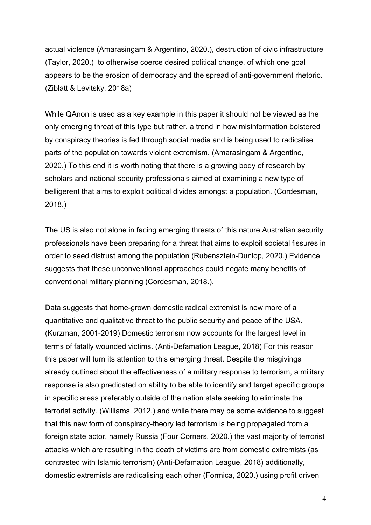actual violence (Amarasingam & Argentino, 2020.), destruction of civic infrastructure (Taylor, 2020.) to otherwise coerce desired political change, of which one goal appears to be the erosion of democracy and the spread of anti-government rhetoric. (Ziblatt & Levitsky, 2018a)

While QAnon is used as a key example in this paper it should not be viewed as the only emerging threat of this type but rather, a trend in how misinformation bolstered by conspiracy theories is fed through social media and is being used to radicalise parts of the population towards violent extremism. (Amarasingam & Argentino, 2020.) To this end it is worth noting that there is a growing body of research by scholars and national security professionals aimed at examining a new type of belligerent that aims to exploit political divides amongst a population. (Cordesman, 2018.)

The US is also not alone in facing emerging threats of this nature Australian security professionals have been preparing for a threat that aims to exploit societal fissures in order to seed distrust among the population (Rubensztein-Dunlop, 2020.) Evidence suggests that these unconventional approaches could negate many benefits of conventional military planning (Cordesman, 2018.).

Data suggests that home-grown domestic radical extremist is now more of a quantitative and qualitative threat to the public security and peace of the USA. (Kurzman, 2001-2019) Domestic terrorism now accounts for the largest level in terms of fatally wounded victims. (Anti-Defamation League, 2018) For this reason this paper will turn its attention to this emerging threat. Despite the misgivings already outlined about the effectiveness of a military response to terrorism, a military response is also predicated on ability to be able to identify and target specific groups in specific areas preferably outside of the nation state seeking to eliminate the terrorist activity. (Williams, 2012.) and while there may be some evidence to suggest that this new form of conspiracy-theory led terrorism is being propagated from a foreign state actor, namely Russia (Four Corners, 2020.) the vast majority of terrorist attacks which are resulting in the death of victims are from domestic extremists (as contrasted with Islamic terrorism) (Anti-Defamation League, 2018) additionally, domestic extremists are radicalising each other (Formica, 2020.) using profit driven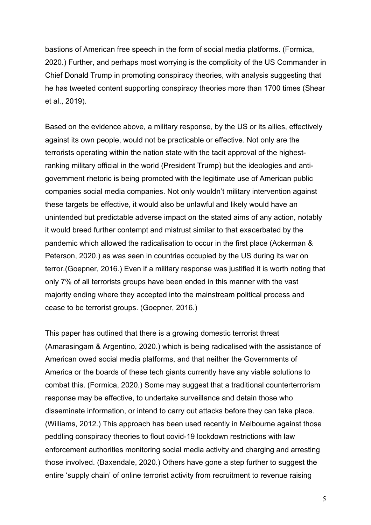bastions of American free speech in the form of social media platforms. (Formica, 2020.) Further, and perhaps most worrying is the complicity of the US Commander in Chief Donald Trump in promoting conspiracy theories, with analysis suggesting that he has tweeted content supporting conspiracy theories more than 1700 times (Shear et al., 2019).

Based on the evidence above, a military response, by the US or its allies, effectively against its own people, would not be practicable or effective. Not only are the terrorists operating within the nation state with the tacit approval of the highestranking military official in the world (President Trump) but the ideologies and antigovernment rhetoric is being promoted with the legitimate use of American public companies social media companies. Not only wouldn't military intervention against these targets be effective, it would also be unlawful and likely would have an unintended but predictable adverse impact on the stated aims of any action, notably it would breed further contempt and mistrust similar to that exacerbated by the pandemic which allowed the radicalisation to occur in the first place (Ackerman & Peterson, 2020.) as was seen in countries occupied by the US during its war on terror.(Goepner, 2016.) Even if a military response was justified it is worth noting that only 7% of all terrorists groups have been ended in this manner with the vast majority ending where they accepted into the mainstream political process and cease to be terrorist groups. (Goepner, 2016.)

This paper has outlined that there is a growing domestic terrorist threat (Amarasingam & Argentino, 2020.) which is being radicalised with the assistance of American owed social media platforms, and that neither the Governments of America or the boards of these tech giants currently have any viable solutions to combat this. (Formica, 2020.) Some may suggest that a traditional counterterrorism response may be effective, to undertake surveillance and detain those who disseminate information, or intend to carry out attacks before they can take place. (Williams, 2012.) This approach has been used recently in Melbourne against those peddling conspiracy theories to flout covid-19 lockdown restrictions with law enforcement authorities monitoring social media activity and charging and arresting those involved. (Baxendale, 2020.) Others have gone a step further to suggest the entire 'supply chain' of online terrorist activity from recruitment to revenue raising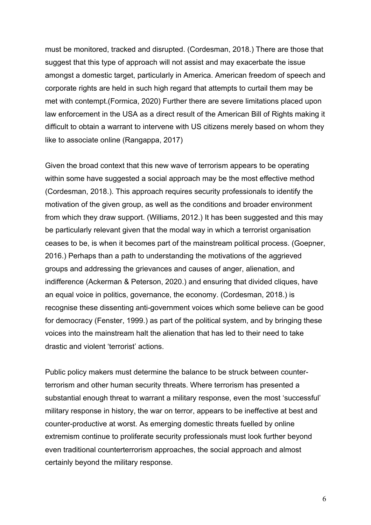must be monitored, tracked and disrupted. (Cordesman, 2018.) There are those that suggest that this type of approach will not assist and may exacerbate the issue amongst a domestic target, particularly in America. American freedom of speech and corporate rights are held in such high regard that attempts to curtail them may be met with contempt.(Formica, 2020) Further there are severe limitations placed upon law enforcement in the USA as a direct result of the American Bill of Rights making it difficult to obtain a warrant to intervene with US citizens merely based on whom they like to associate online (Rangappa, 2017)

Given the broad context that this new wave of terrorism appears to be operating within some have suggested a social approach may be the most effective method (Cordesman, 2018.). This approach requires security professionals to identify the motivation of the given group, as well as the conditions and broader environment from which they draw support. (Williams, 2012.) It has been suggested and this may be particularly relevant given that the modal way in which a terrorist organisation ceases to be, is when it becomes part of the mainstream political process. (Goepner, 2016.) Perhaps than a path to understanding the motivations of the aggrieved groups and addressing the grievances and causes of anger, alienation, and indifference (Ackerman & Peterson, 2020.) and ensuring that divided cliques, have an equal voice in politics, governance, the economy. (Cordesman, 2018.) is recognise these dissenting anti-government voices which some believe can be good for democracy (Fenster, 1999.) as part of the political system, and by bringing these voices into the mainstream halt the alienation that has led to their need to take drastic and violent 'terrorist' actions.

Public policy makers must determine the balance to be struck between counterterrorism and other human security threats. Where terrorism has presented a substantial enough threat to warrant a military response, even the most 'successful' military response in history, the war on terror, appears to be ineffective at best and counter-productive at worst. As emerging domestic threats fuelled by online extremism continue to proliferate security professionals must look further beyond even traditional counterterrorism approaches, the social approach and almost certainly beyond the military response.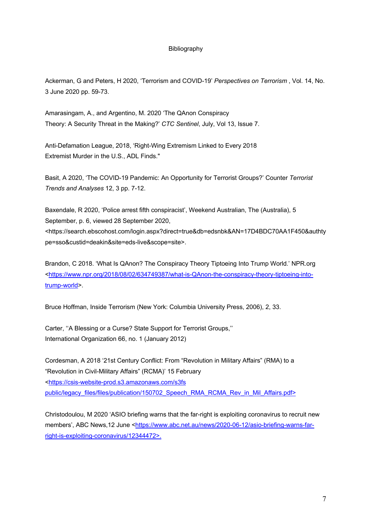## Bibliography

Ackerman, G and Peters, H 2020, 'Terrorism and COVID-19' *Perspectives on Terrorism* , Vol. 14, No. 3 June 2020 pp. 59-73.

Amarasingam, A., and Argentino, M. 2020 'The QAnon Conspiracy Theory: A Security Threat in the Making?' *CTC Sentinel*, July, Vol 13, Issue 7.

Anti-Defamation League, 2018, 'Right-Wing Extremism Linked to Every 2018 Extremist Murder in the U.S., ADL Finds."

Basit, A 2020, 'The COVID-19 Pandemic: An Opportunity for Terrorist Groups?' Counter *Terrorist Trends and Analyses* 12, 3 pp. 7-12.

Baxendale, R 2020, 'Police arrest fifth conspiracist', Weekend Australian, The (Australia), 5 September, p. 6, viewed 28 September 2020, <https://search.ebscohost.com/login.aspx?direct=true&db=edsnbk&AN=17D4BDC70AA1F450&authty pe=sso&custid=deakin&site=eds-live&scope=site>.

Brandon, C 2018. 'What Is QAnon? The Conspiracy Theory Tiptoeing Into Trump World.' NPR.org <https://www.npr.org/2018/08/02/634749387/what-is-QAnon-the-conspiracy-theory-tiptoeing-intotrump-world>.

Bruce Hoffman, Inside Terrorism (New York: Columbia University Press, 2006), 2, 33.

Carter, ''A Blessing or a Curse? State Support for Terrorist Groups,'' International Organization 66, no. 1 (January 2012)

Cordesman, A 2018 '21st Century Conflict: From "Revolution in Military Affairs" (RMA) to a "Revolution in Civil-Military Affairs" (RCMA)' 15 February <https://csis-website-prod.s3.amazonaws.com/s3fs public/legacy\_files/files/publication/150702\_Speech\_RMA\_RCMA\_Rev\_in\_Mil\_Affairs.pdf>

Christodoulou, M 2020 'ASIO briefing warns that the far-right is exploiting coronavirus to recruit new members', ABC News, 12 June <https://www.abc.net.au/news/2020-06-12/asio-briefing-warns-farright-is-exploiting-coronavirus/12344472>.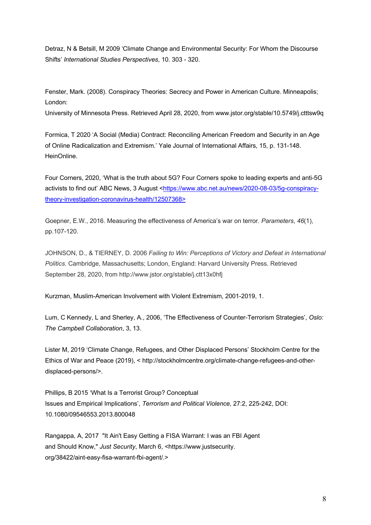Detraz, N & Betsill, M 2009 'Climate Change and Environmental Security: For Whom the Discourse Shifts' *International Studies Perspectives*, 10. 303 - 320.

Fenster, Mark. (2008). Conspiracy Theories: Secrecy and Power in American Culture. Minneapolis; London:

University of Minnesota Press. Retrieved April 28, 2020, from www.jstor.org/stable/10.5749/j.ctttsw9q

Formica, T 2020 'A Social (Media) Contract: Reconciling American Freedom and Security in an Age of Online Radicalization and Extremism.' Yale Journal of International Affairs, 15, p. 131-148. HeinOnline.

Four Corners, 2020, 'What is the truth about 5G? Four Corners spoke to leading experts and anti-5G activists to find out' ABC News, 3 August <https://www.abc.net.au/news/2020-08-03/5g-conspiracytheory-investigation-coronavirus-health/12507368>

Goepner, E.W., 2016. Measuring the effectiveness of America's war on terror. *Parameters*, *46*(1), pp.107-120.

JOHNSON, D., & TIERNEY, D. 2006 *Failing to Win: Perceptions of Victory and Defeat in International Politics*. Cambridge, Massachusetts; London, England: Harvard University Press. Retrieved September 28, 2020, from http://www.jstor.org/stable/j.ctt13x0hfj

Kurzman, Muslim-American Involvement with Violent Extremism, 2001-2019, 1.

Lum, C Kennedy, L and Sherley, A., 2006, 'The Effectiveness of Counter-Terrorism Strategies', *Oslo: The Campbell Collaboration*, 3, 13.

Lister M, 2019 'Climate Change, Refugees, and Other Displaced Persons' Stockholm Centre for the Ethics of War and Peace (2019), < http://stockholmcentre.org/climate-change-refugees-and-otherdisplaced-persons/>.

Phillips, B 2015 'What Is a Terrorist Group? Conceptual Issues and Empirical Implications', *Terrorism and Political Violence,* 27:2, 225-242, DOI: 10.1080/09546553.2013.800048

Rangappa, A, 2017 "It Ain't Easy Getting a FISA Warrant: I was an FBI Agent and Should Know," *Just Security*, March 6, <https://www.justsecurity. org/38422/aint-easy-fisa-warrant-fbi-agent/.>